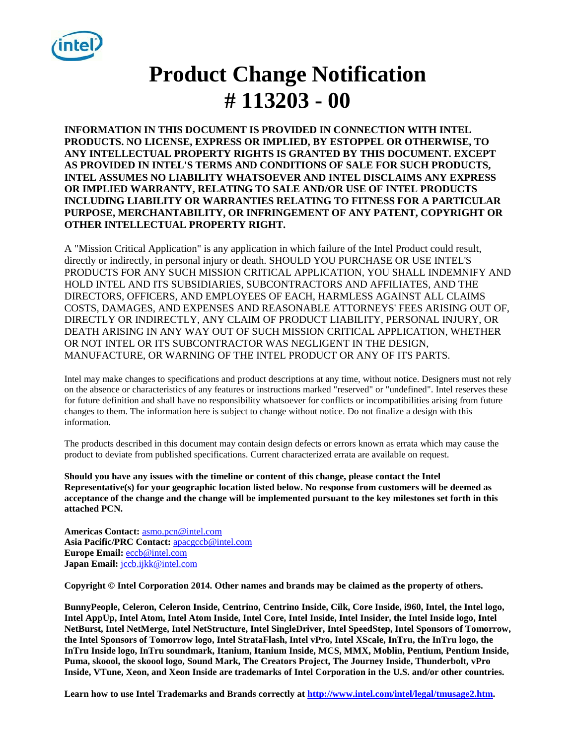

# **Product Change Notification # 113203 - 00**

**INFORMATION IN THIS DOCUMENT IS PROVIDED IN CONNECTION WITH INTEL PRODUCTS. NO LICENSE, EXPRESS OR IMPLIED, BY ESTOPPEL OR OTHERWISE, TO ANY INTELLECTUAL PROPERTY RIGHTS IS GRANTED BY THIS DOCUMENT. EXCEPT AS PROVIDED IN INTEL'S TERMS AND CONDITIONS OF SALE FOR SUCH PRODUCTS, INTEL ASSUMES NO LIABILITY WHATSOEVER AND INTEL DISCLAIMS ANY EXPRESS OR IMPLIED WARRANTY, RELATING TO SALE AND/OR USE OF INTEL PRODUCTS INCLUDING LIABILITY OR WARRANTIES RELATING TO FITNESS FOR A PARTICULAR PURPOSE, MERCHANTABILITY, OR INFRINGEMENT OF ANY PATENT, COPYRIGHT OR OTHER INTELLECTUAL PROPERTY RIGHT.** 

A "Mission Critical Application" is any application in which failure of the Intel Product could result, directly or indirectly, in personal injury or death. SHOULD YOU PURCHASE OR USE INTEL'S PRODUCTS FOR ANY SUCH MISSION CRITICAL APPLICATION, YOU SHALL INDEMNIFY AND HOLD INTEL AND ITS SUBSIDIARIES, SUBCONTRACTORS AND AFFILIATES, AND THE DIRECTORS, OFFICERS, AND EMPLOYEES OF EACH, HARMLESS AGAINST ALL CLAIMS COSTS, DAMAGES, AND EXPENSES AND REASONABLE ATTORNEYS' FEES ARISING OUT OF, DIRECTLY OR INDIRECTLY, ANY CLAIM OF PRODUCT LIABILITY, PERSONAL INJURY, OR DEATH ARISING IN ANY WAY OUT OF SUCH MISSION CRITICAL APPLICATION, WHETHER OR NOT INTEL OR ITS SUBCONTRACTOR WAS NEGLIGENT IN THE DESIGN, MANUFACTURE, OR WARNING OF THE INTEL PRODUCT OR ANY OF ITS PARTS.

Intel may make changes to specifications and product descriptions at any time, without notice. Designers must not rely on the absence or characteristics of any features or instructions marked "reserved" or "undefined". Intel reserves these for future definition and shall have no responsibility whatsoever for conflicts or incompatibilities arising from future changes to them. The information here is subject to change without notice. Do not finalize a design with this information.

The products described in this document may contain design defects or errors known as errata which may cause the product to deviate from published specifications. Current characterized errata are available on request.

**Should you have any issues with the timeline or content of this change, please contact the Intel Representative(s) for your geographic location listed below. No response from customers will be deemed as acceptance of the change and the change will be implemented pursuant to the key milestones set forth in this attached PCN.** 

**Americas Contact:** [asmo.pcn@intel.com](mailto:asmo.pcn@intel.com)  **Asia Pacific/PRC Contact:** [apacgccb@intel.com](mailto:apacgccb@intel.com)  **Europe Email:** [eccb@intel.com](mailto:eccb@intel.com)  **Japan Email:** [jccb.ijkk@intel.com](mailto:jccb.ijkk@intel.com) 

**Copyright © Intel Corporation 2014. Other names and brands may be claimed as the property of others.**

**BunnyPeople, Celeron, Celeron Inside, Centrino, Centrino Inside, Cilk, Core Inside, i960, Intel, the Intel logo, Intel AppUp, Intel Atom, Intel Atom Inside, Intel Core, Intel Inside, Intel Insider, the Intel Inside logo, Intel NetBurst, Intel NetMerge, Intel NetStructure, Intel SingleDriver, Intel SpeedStep, Intel Sponsors of Tomorrow, the Intel Sponsors of Tomorrow logo, Intel StrataFlash, Intel vPro, Intel XScale, InTru, the InTru logo, the InTru Inside logo, InTru soundmark, Itanium, Itanium Inside, MCS, MMX, Moblin, Pentium, Pentium Inside, Puma, skoool, the skoool logo, Sound Mark, The Creators Project, The Journey Inside, Thunderbolt, vPro Inside, VTune, Xeon, and Xeon Inside are trademarks of Intel Corporation in the U.S. and/or other countries.**

**Learn how to use Intel Trademarks and Brands correctly a[t http://www.intel.com/intel/legal/tmusage2.htm.](http://www.intel.com/intel/legal/tmusage2.htm)**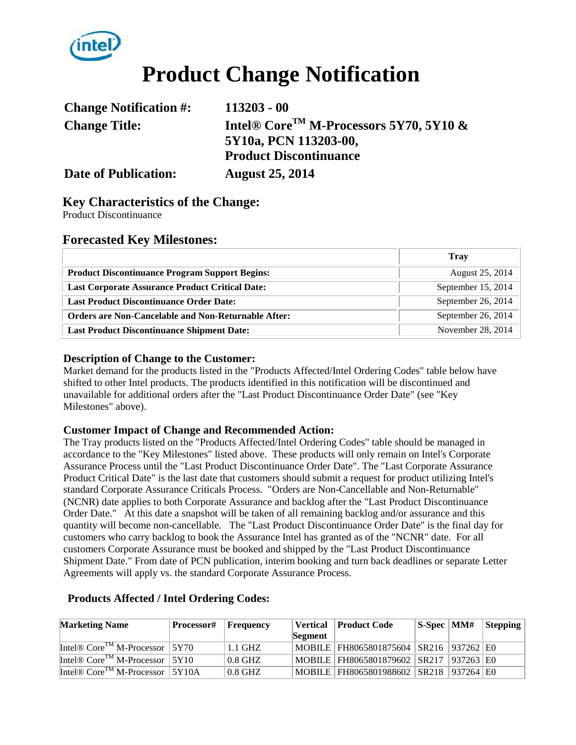

# **Product Change Notification**

**Change Notification #: 113203 - 00**

**Change Title: Intel® CoreTM M-Processors 5Y70, 5Y10 & 5Y10a, PCN 113203-00, Product Discontinuance**

**Date of Publication: August 25, 2014**

## **Key Characteristics of the Change:**

Product Discontinuance

## **Forecasted Key Milestones:**

|                                                            | <b>Trav</b>        |
|------------------------------------------------------------|--------------------|
| <b>Product Discontinuance Program Support Begins:</b>      | August 25, 2014    |
| <b>Last Corporate Assurance Product Critical Date:</b>     | September 15, 2014 |
| <b>Last Product Discontinuance Order Date:</b>             | September 26, 2014 |
| <b>Orders are Non-Cancelable and Non-Returnable After:</b> | September 26, 2014 |
| <b>Last Product Discontinuance Shipment Date:</b>          | November 28, 2014  |

#### **Description of Change to the Customer:**

Market demand for the products listed in the "Products Affected/Intel Ordering Codes" table below have shifted to other Intel products. The products identified in this notification will be discontinued and unavailable for additional orders after the "Last Product Discontinuance Order Date" (see "Key Milestones" above).

### **Customer Impact of Change and Recommended Action:**

The Tray products listed on the "Products Affected/Intel Ordering Codes" table should be managed in accordance to the "Key Milestones" listed above. These products will only remain on Intel's Corporate Assurance Process until the "Last Product Discontinuance Order Date". The "Last Corporate Assurance Product Critical Date" is the last date that customers should submit a request for product utilizing Intel's standard Corporate Assurance Criticals Process. "Orders are Non-Cancellable and Non-Returnable" (NCNR) date applies to both Corporate Assurance and backlog after the "Last Product Discontinuance Order Date." At this date a snapshot will be taken of all remaining backlog and/or assurance and this quantity will become non-cancellable. The "Last Product Discontinuance Order Date" is the final day for customers who carry backlog to book the Assurance Intel has granted as of the "NCNR" date. For all customers Corporate Assurance must be booked and shipped by the "Last Product Discontinuance Shipment Date." From date of PCN publication, interim booking and turn back deadlines or separate Letter Agreements will apply vs. the standard Corporate Assurance Process.

| <b>Marketing Name</b>                                     | <b>Processor#</b> Frequency |           |         | Vertical Product Code                          | $ S\text{-}Spec$ $ MM#$ | $\vert$ Stepping $\vert$ |
|-----------------------------------------------------------|-----------------------------|-----------|---------|------------------------------------------------|-------------------------|--------------------------|
|                                                           |                             |           | Segment |                                                |                         |                          |
| Intel <sup>®</sup> Core <sup>TM</sup> M-Processor $5Y70$  |                             | $1.1$ GHZ |         | MOBILE   FH8065801875604   SR216   937262   E0 |                         |                          |
| Intel <sup>®</sup> Core <sup>TM</sup> M-Processor $5Y10$  |                             | $0.8$ GHZ |         | MOBILE   FH8065801879602   SR217   937263   E0 |                         |                          |
| Intel <sup>®</sup> Core <sup>TM</sup> M-Processor $5Y10A$ |                             | $0.8$ GHZ |         | MOBILE   FH8065801988602   SR218   937264   E0 |                         |                          |

### **Products Affected / Intel Ordering Codes:**